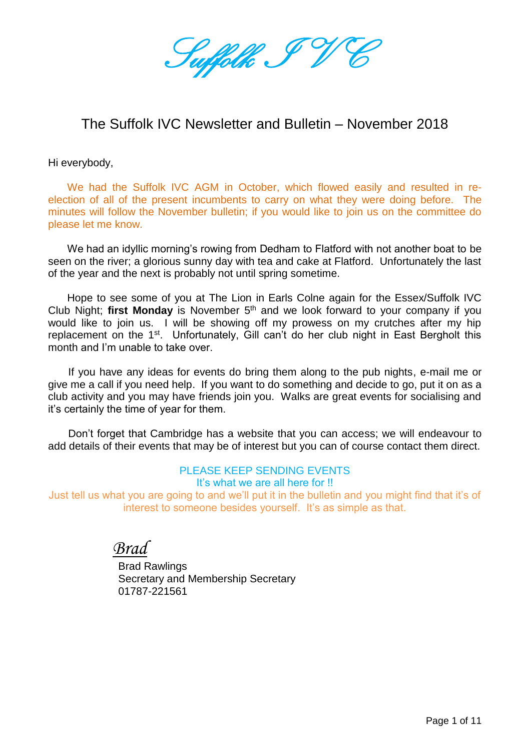Suffolk I

## The Suffolk IVC Newsletter and Bulletin – November 2018

Hi everybody,

We had the Suffolk IVC AGM in October, which flowed easily and resulted in reelection of all of the present incumbents to carry on what they were doing before. The minutes will follow the November bulletin; if you would like to join us on the committee do please let me know.

We had an idyllic morning's rowing from Dedham to Flatford with not another boat to be seen on the river; a glorious sunny day with tea and cake at Flatford. Unfortunately the last of the year and the next is probably not until spring sometime.

Hope to see some of you at The Lion in Earls Colne again for the Essex/Suffolk IVC Club Night; **first Monday** is November 5<sup>th</sup> and we look forward to your company if you would like to join us. I will be showing off my prowess on my crutches after my hip replacement on the 1<sup>st</sup>. Unfortunately, Gill can't do her club night in East Bergholt this month and I'm unable to take over.

If you have any ideas for events do bring them along to the pub nights, e-mail me or give me a call if you need help. If you want to do something and decide to go, put it on as a club activity and you may have friends join you. Walks are great events for socialising and it's certainly the time of year for them.

Don't forget that Cambridge has a website that you can access; we will endeavour to add details of their events that may be of interest but you can of course contact them direct.

#### PLEASE KEEP SENDING EVENTS It's what we are all here for !!

Just tell us what you are going to and we'll put it in the bulletin and you might find that it's of interest to someone besides yourself. It's as simple as that.

*Brad*

 Brad Rawlings Secretary and Membership Secretary 01787-221561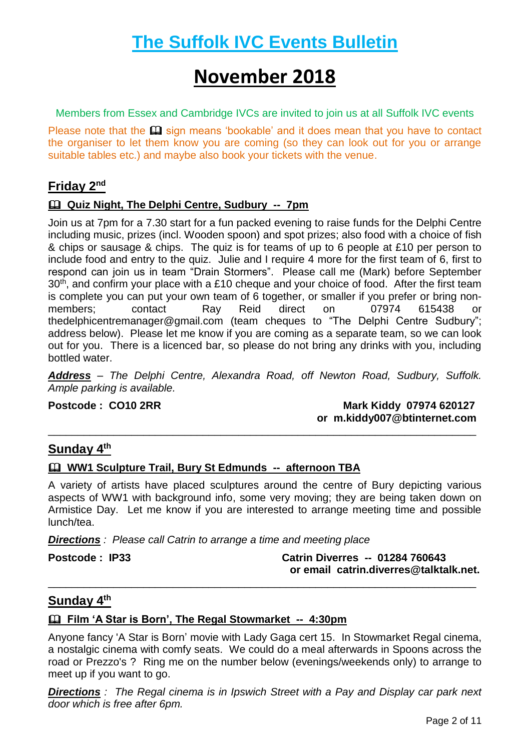# **The Suffolk IVC Events Bulletin**

# **November 2018**

Members from Essex and Cambridge IVCs are invited to join us at all Suffolk IVC events

Please note that the  $\mathbf \Omega$  sign means 'bookable' and it does mean that you have to contact the organiser to let them know you are coming (so they can look out for you or arrange suitable tables etc.) and maybe also book your tickets with the venue.

#### **Friday 2nd**

#### **Quiz Night, The Delphi Centre, Sudbury -- 7pm**

Join us at 7pm for a 7.30 start for a fun packed evening to raise funds for the Delphi Centre including music, prizes (incl. Wooden spoon) and spot prizes; also food with a choice of fish & chips or sausage & chips. The quiz is for teams of up to 6 people at £10 per person to include food and entry to the quiz. Julie and I require 4 more for the first team of 6, first to respond can join us in team "Drain Stormers". Please call me (Mark) before September 30<sup>th</sup>, and confirm your place with a £10 cheque and your choice of food. After the first team is complete you can put your own team of 6 together, or smaller if you prefer or bring nonmembers; contact Ray Reid direct on 07974 615438 or [thedelphicentremanager@gmail.com](mailto:thedelphicentremanager@gmail.com) (team cheques to "The Delphi Centre Sudbury"; address below). Please let me know if you are coming as a separate team, so we can look out for you. There is a licenced bar, so please do not bring any drinks with you, including bottled water.

*Address – The Delphi Centre, Alexandra Road, off Newton Road, Sudbury, Suffolk. Ample parking is available.*

**Postcode : CO10 2RR** Mark Kiddy 07974 620127  **or [m.kiddy007@btinternet.com](mailto:m.kiddy007@btinternet.com)** \_\_\_\_\_\_\_\_\_\_\_\_\_\_\_\_\_\_\_\_\_\_\_\_\_\_\_\_\_\_\_\_\_\_\_\_\_\_\_\_\_\_\_\_\_\_\_\_\_\_\_\_\_\_\_\_\_\_\_\_\_\_\_\_\_\_\_\_\_\_\_\_

#### **Sunday 4th**

#### **WW1 Sculpture Trail, Bury St Edmunds -- afternoon TBA**

A variety of artists have placed sculptures around the centre of Bury depicting various aspects of WW1 with background info, some very moving; they are being taken down on Armistice Day. Let me know if you are interested to arrange meeting time and possible lunch/tea.

*Directions : Please call Catrin to arrange a time and meeting place*

**Postcode : IP33 Catrin Diverres -- 01284 760643 or email catrin.diverres@talktalk.net.**

#### **Sunday 4th**

#### **Film 'A Star is Born', The Regal Stowmarket -- 4:30pm**

Anyone fancy 'A Star is Born' movie with Lady Gaga cert 15. In Stowmarket Regal cinema, a nostalgic cinema with comfy seats. We could do a meal afterwards in Spoons across the road or Prezzo's ? Ring me on the number below (evenings/weekends only) to arrange to meet up if you want to go.

\_\_\_\_\_\_\_\_\_\_\_\_\_\_\_\_\_\_\_\_\_\_\_\_\_\_\_\_\_\_\_\_\_\_\_\_\_\_\_\_\_\_\_\_\_\_\_\_\_\_\_\_\_\_\_\_\_\_\_\_\_\_\_\_\_\_\_\_\_\_\_\_

**Directions** *:* The Regal cinema is in Ipswich Street with a Pay and Display car park next *door which is free after 6pm.*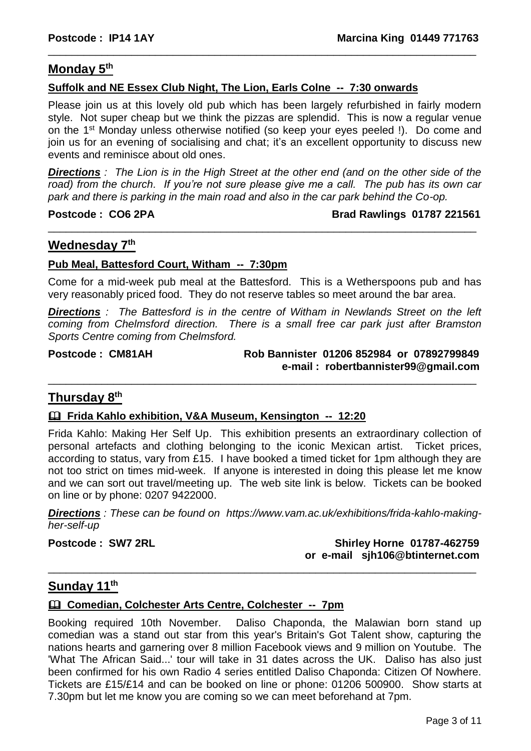#### **Monday 5 th**

#### **Suffolk and NE Essex Club Night, The Lion, Earls Colne -- 7:30 onwards**

Please join us at this lovely old pub which has been largely refurbished in fairly modern style. Not super cheap but we think the pizzas are splendid. This is now a regular venue on the 1<sup>st</sup> Monday unless otherwise notified (so keep your eyes peeled !). Do come and join us for an evening of socialising and chat; it's an excellent opportunity to discuss new events and reminisce about old ones.

\_\_\_\_\_\_\_\_\_\_\_\_\_\_\_\_\_\_\_\_\_\_\_\_\_\_\_\_\_\_\_\_\_\_\_\_\_\_\_\_\_\_\_\_\_\_\_\_\_\_\_\_\_\_\_\_\_\_\_\_\_\_\_\_\_\_\_\_\_\_\_\_

*Directions : The Lion is in the High Street at the other end (and on the other side of the road) from the church. If you're not sure please give me a call. The pub has its own car park and there is parking in the main road and also in the car park behind the Co-op.*

\_\_\_\_\_\_\_\_\_\_\_\_\_\_\_\_\_\_\_\_\_\_\_\_\_\_\_\_\_\_\_\_\_\_\_\_\_\_\_\_\_\_\_\_\_\_\_\_\_\_\_\_\_\_\_\_\_\_\_\_\_\_\_\_\_\_\_\_\_\_\_\_

**Postcode : CO6 2PA** Brad Rawlings 01787 221561

#### **Wednesday 7th**

#### **Pub Meal, Battesford Court, Witham -- 7:30pm**

Come for a mid-week pub meal at the Battesford. This is a Wetherspoons pub and has very reasonably priced food. They do not reserve tables so meet around the bar area.

*Directions : The Battesford is in the centre of Witham in Newlands Street on the left coming from Chelmsford direction. There is a small free car park just after Bramston Sports Centre coming from Chelmsford.*

\_\_\_\_\_\_\_\_\_\_\_\_\_\_\_\_\_\_\_\_\_\_\_\_\_\_\_\_\_\_\_\_\_\_\_\_\_\_\_\_\_\_\_\_\_\_\_\_\_\_\_\_\_\_\_\_\_\_\_\_\_\_\_\_\_\_\_\_\_\_\_\_

#### **Postcode : CM81AH Rob Bannister 01206 852984 or 07892799849 e-mail : robertbannister99@gmail.com**

#### **Thursday 8 th**

#### **Frida Kahlo exhibition, V&A Museum, Kensington -- 12:20**

Frida Kahlo: Making Her Self Up. This exhibition presents an extraordinary collection of personal artefacts and clothing belonging to the iconic Mexican artist. Ticket prices, according to status, vary from £15. I have booked a timed ticket for 1pm although they are not too strict on times mid-week. If anyone is interested in doing this please let me know and we can sort out travel/meeting up. The web site link is below. Tickets can be booked on line or by phone: 0207 9422000.

*Directions : These can be found on [https://www.vam.ac.uk/exhibitions/frida-kahlo-making](https://www.vam.ac.uk/exhibitions/frida-kahlo-making-her-self-up)[her-self-up](https://www.vam.ac.uk/exhibitions/frida-kahlo-making-her-self-up)*

**Postcode : SW7 2RL Shirley Horne 01787-462759 or e-mail [sjh106@btinternet.com](mailto:sjh106@btinternet.com)** \_\_\_\_\_\_\_\_\_\_\_\_\_\_\_\_\_\_\_\_\_\_\_\_\_\_\_\_\_\_\_\_\_\_\_\_\_\_\_\_\_\_\_\_\_\_\_\_\_\_\_\_\_\_\_\_\_\_\_\_\_\_\_\_\_\_\_\_\_\_\_\_

#### **Sunday 11th**

#### **Comedian, Colchester Arts Centre, Colchester -- 7pm**

Booking required 10th November. Daliso Chaponda, the Malawian born stand up comedian was a stand out star from this year's Britain's Got Talent show, capturing the nations hearts and garnering over 8 million Facebook views and 9 million on Youtube. The 'What The African Said...' tour will take in 31 dates across the UK. Daliso has also just been confirmed for his own Radio 4 series entitled Daliso Chaponda: Citizen Of Nowhere. Tickets are £15/£14 and can be booked on line or phone: 01206 500900. Show starts at 7.30pm but let me know you are coming so we can meet beforehand at 7pm.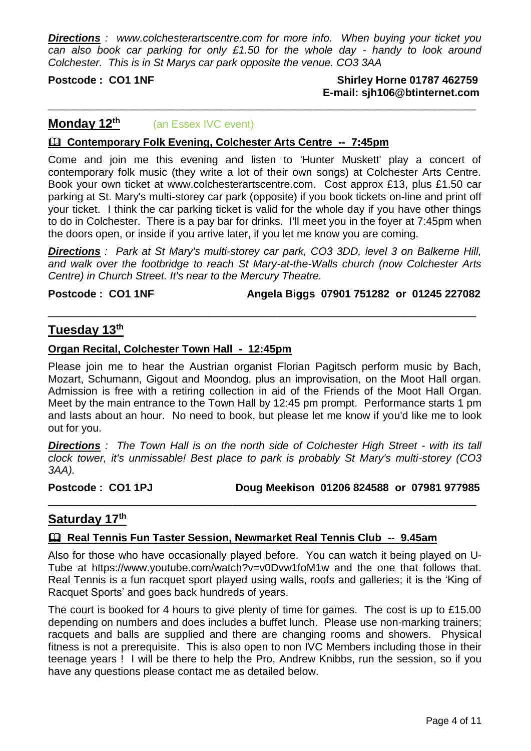*Directions : www.colchesterartscentre.com for more info. When buying your ticket you can also book car parking for only £1.50 for the whole day - handy to look around Colchester. This is in St Marys car park opposite the venue. CO3 3AA*

\_\_\_\_\_\_\_\_\_\_\_\_\_\_\_\_\_\_\_\_\_\_\_\_\_\_\_\_\_\_\_\_\_\_\_\_\_\_\_\_\_\_\_\_\_\_\_\_\_\_\_\_\_\_\_\_\_\_\_\_\_\_\_\_\_\_\_\_\_\_\_\_

#### **Postcode : CO1 1NF Shirley Horne 01787 462759 E-mail: [sjh106@btinternet.com](mailto:sjh106@btinternet.com)**

#### **Monday 12th** (an Essex IVC event)

#### **Contemporary Folk Evening, Colchester Arts Centre -- 7:45pm**

Come and join me this evening and listen to 'Hunter Muskett' play a concert of contemporary folk music (they write a lot of their own songs) at Colchester Arts Centre. Book your own ticket at [www.colchesterartscentre.com.](https://essexivc.us8.list-manage.com/track/click?u=97a54db3e8edd7c5e04c68373&id=0373926d12&e=dc3f9945df) Cost approx £13, plus £1.50 car parking at St. Mary's multi-storey car park (opposite) if you book tickets on-line and print off your ticket. I think the car parking ticket is valid for the whole day if you have other things to do in Colchester. There is a pay bar for drinks. I'll meet you in the foyer at 7:45pm when the doors open, or inside if you arrive later, if you let me know you are coming.

*Directions : Park at St Mary's multi-storey car park, CO3 3DD, level 3 on Balkerne Hill, and walk over the footbridge to reach St Mary-at-the-Walls church (now Colchester Arts Centre) in Church Street. It's near to the Mercury Theatre.*

\_\_\_\_\_\_\_\_\_\_\_\_\_\_\_\_\_\_\_\_\_\_\_\_\_\_\_\_\_\_\_\_\_\_\_\_\_\_\_\_\_\_\_\_\_\_\_\_\_\_\_\_\_\_\_\_\_\_\_\_\_\_\_\_\_\_\_\_\_\_\_\_

**Postcode : CO1 1NF Angela Biggs 07901 751282 or 01245 227082**

### **Tuesday 13th**

#### **Organ Recital, Colchester Town Hall - 12:45pm**

Please join me to hear the Austrian organist Florian Pagitsch perform music by Bach, Mozart, Schumann, Gigout and Moondog, plus an improvisation, on the Moot Hall organ. Admission is free with a retiring collection in aid of the Friends of the Moot Hall Organ. Meet by the main entrance to the Town Hall by 12:45 pm prompt. Performance starts 1 pm and lasts about an hour. No need to book, but please let me know if you'd like me to look out for you.

*Directions : The Town Hall is on the north side of Colchester High Street - with its tall clock tower, it's unmissable! Best place to park is probably St Mary's multi-storey (CO3 3AA).*

\_\_\_\_\_\_\_\_\_\_\_\_\_\_\_\_\_\_\_\_\_\_\_\_\_\_\_\_\_\_\_\_\_\_\_\_\_\_\_\_\_\_\_\_\_\_\_\_\_\_\_\_\_\_\_\_\_\_\_\_\_\_\_\_\_\_\_\_\_\_\_\_

**Postcode : CO1 1PJ Doug Meekison 01206 824588 or 07981 977985**

#### **Saturday 17th**

#### **Real Tennis Fun Taster Session, Newmarket Real Tennis Club -- 9.45am**

Also for those who have occasionally played before. You can watch it being played on U-Tube at https://www.youtube.com/watch?v=v0Dvw1foM1w and the one that follows that. Real Tennis is a fun racquet sport played using walls, roofs and galleries; it is the 'King of Racquet Sports' and goes back hundreds of years.

The court is booked for 4 hours to give plenty of time for games. The cost is up to £15.00 depending on numbers and does includes a buffet lunch. Please use non-marking trainers; racquets and balls are supplied and there are changing rooms and showers. Physical fitness is not a prerequisite. This is also open to non IVC Members including those in their teenage years ! I will be there to help the Pro, Andrew Knibbs, run the session, so if you have any questions please contact me as detailed below.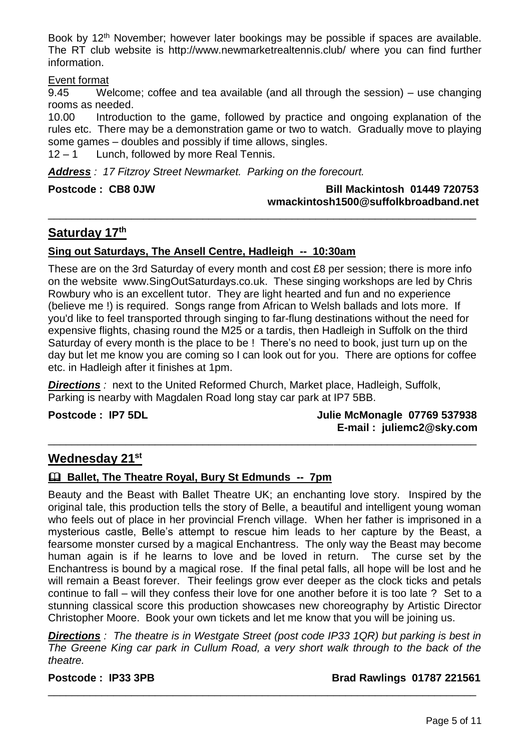Book by 12<sup>th</sup> November; however later bookings may be possible if spaces are available. The RT club website is <http://www.newmarketrealtennis.club/> where you can find further information.

#### Event format

9.45 Welcome; coffee and tea available (and all through the session) – use changing rooms as needed.

10.00 Introduction to the game, followed by practice and ongoing explanation of the rules etc. There may be a demonstration game or two to watch. Gradually move to playing some games – doubles and possibly if time allows, singles.

\_\_\_\_\_\_\_\_\_\_\_\_\_\_\_\_\_\_\_\_\_\_\_\_\_\_\_\_\_\_\_\_\_\_\_\_\_\_\_\_\_\_\_\_\_\_\_\_\_\_\_\_\_\_\_\_\_\_\_\_\_\_\_\_\_\_\_\_\_\_\_\_

12 – 1 Lunch, followed by more Real Tennis.

*Address : 17 Fitzroy Street Newmarket. Parking on the forecourt.*

#### Postcode : CB8 0JW Bill Mackintosh 01449 720753  **[wmackintosh1500@suffolkbroadband.net](mailto:wmackintoah1500@suffolkbroadband.net)**

#### **Saturday 17 th**

#### **Sing out Saturdays, The Ansell Centre, Hadleigh -- 10:30am**

These are on the 3rd Saturday of every month and cost £8 per session; there is more info on the website www.SingOutSaturdays.co.uk. These singing workshops are led by Chris Rowbury who is an excellent tutor. They are light hearted and fun and no experience (believe me !) is required. Songs range from African to Welsh ballads and lots more. If you'd like to feel transported through singing to far-flung destinations without the need for expensive flights, chasing round the M25 or a tardis, then Hadleigh in Suffolk on the third Saturday of every month is the place to be ! There's no need to book, just turn up on the day but let me know you are coming so I can look out for you. There are options for coffee etc. in Hadleigh after it finishes at 1pm.

\_\_\_\_\_\_\_\_\_\_\_\_\_\_\_\_\_\_\_\_\_\_\_\_\_\_\_\_\_\_\_\_\_\_\_\_\_\_\_\_\_\_\_\_\_\_\_\_\_\_\_\_\_\_\_\_\_\_\_\_\_\_\_\_\_\_\_\_\_\_\_\_

**Directions**: next to the United Reformed Church, Market place, Hadleigh, Suffolk, Parking is nearby with Magdalen Road long stay car park at IP7 5BB.

**Postcode : IP7 5DL Julie McMonagle 07769 537938 E-mail : [juliemc2@sky.com](mailto:juliemc2@sky.com)**

#### **Wednesday 21st**

#### **Ballet, The Theatre Royal, Bury St Edmunds -- 7pm**

Beauty and the Beast with Ballet Theatre UK; an enchanting love story. Inspired by the original tale, this production tells the story of Belle, a beautiful and intelligent young woman who feels out of place in her provincial French village. When her father is imprisoned in a mysterious castle, Belle's attempt to rescue him leads to her capture by the Beast, a fearsome monster cursed by a magical Enchantress. The only way the Beast may become human again is if he learns to love and be loved in return. The curse set by the Enchantress is bound by a magical rose. If the final petal falls, all hope will be lost and he will remain a Beast forever. Their feelings grow ever deeper as the clock ticks and petals continue to fall – will they confess their love for one another before it is too late ? Set to a stunning classical score this production showcases new choreography by Artistic Director Christopher Moore. Book your own tickets and let me know that you will be joining us.

*Directions : The theatre is in Westgate Street (post code IP33 1QR) but parking is best in The Greene King car park in Cullum Road, a very short walk through to the back of the theatre.*

\_\_\_\_\_\_\_\_\_\_\_\_\_\_\_\_\_\_\_\_\_\_\_\_\_\_\_\_\_\_\_\_\_\_\_\_\_\_\_\_\_\_\_\_\_\_\_\_\_\_\_\_\_\_\_\_\_\_\_\_\_\_\_\_\_\_\_\_\_\_\_\_

#### **Postcode** : **IP33 3PB Brad Rawlings 01787 221561**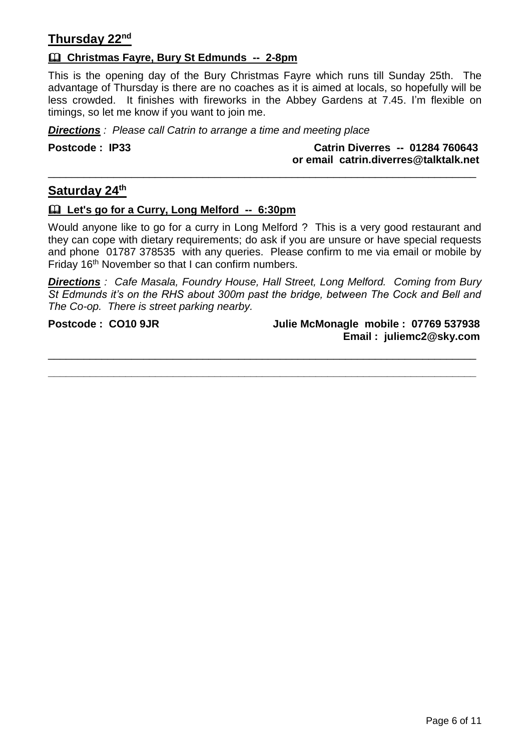### **Thursday 22nd**

#### **Christmas Fayre, Bury St Edmunds -- 2-8pm**

This is the opening day of the Bury Christmas Fayre which runs till Sunday 25th. The advantage of Thursday is there are no coaches as it is aimed at locals, so hopefully will be less crowded. It finishes with fireworks in the Abbey Gardens at 7.45. I'm flexible on timings, so let me know if you want to join me.

*Directions : Please call Catrin to arrange a time and meeting place*

**Postcode : IP33 Catrin Diverres -- 01284 760643 or email catrin.diverres@talktalk.net**

#### **Saturday 24th**

#### **Let's go for a Curry, Long Melford -- 6:30pm**

Would anyone like to go for a curry in Long Melford ? This is a very good restaurant and they can cope with dietary requirements; do ask if you are unsure or have special requests and phone 01787 378535 with any queries. Please confirm to me via email or mobile by Friday 16th November so that I can confirm numbers.

\_\_\_\_\_\_\_\_\_\_\_\_\_\_\_\_\_\_\_\_\_\_\_\_\_\_\_\_\_\_\_\_\_\_\_\_\_\_\_\_\_\_\_\_\_\_\_\_\_\_\_\_\_\_\_\_\_\_\_\_\_\_\_\_\_\_\_\_\_\_\_\_

*Directions : Cafe Masala, Foundry House, Hall Street, Long Melford. Coming from Bury St Edmunds it's on the RHS about 300m past the bridge, between The Cock and Bell and The Co-op. There is street parking nearby.*

\_\_\_\_\_\_\_\_\_\_\_\_\_\_\_\_\_\_\_\_\_\_\_\_\_\_\_\_\_\_\_\_\_\_\_\_\_\_\_\_\_\_\_\_\_\_\_\_\_\_\_\_\_\_\_\_\_\_\_\_\_\_\_\_\_\_\_\_\_\_\_\_ **\_\_\_\_\_\_\_\_\_\_\_\_\_\_\_\_\_\_\_\_\_\_\_\_\_\_\_\_\_\_\_\_\_\_\_\_\_\_\_\_\_\_\_\_\_\_\_\_\_\_\_\_\_\_\_\_\_\_\_\_\_\_\_\_\_\_\_\_\_\_\_\_**

**Postcode : CO10 9JR Julie McMonagle mobile : 07769 537938 Email : [juliemc2@sky.com](mailto:juliemc2@sky.com)**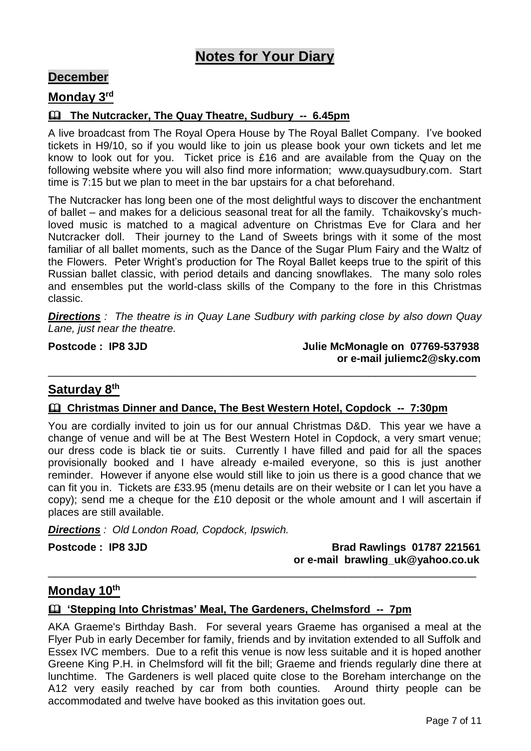## **Notes for Your Diary**

#### **December**

#### **Monday 3rd**

#### **The Nutcracker, The Quay Theatre, Sudbury -- 6.45pm**

A live broadcast from The Royal Opera House by The Royal Ballet Company. I've booked tickets in H9/10, so if you would like to join us please book your own tickets and let me know to look out for you. Ticket price is £16 and are available from the Quay on the following website where you will also find more information; www.quaysudbury.com. Start time is 7:15 but we plan to meet in the bar upstairs for a chat beforehand.

The Nutcracker has long been one of the most delightful ways to discover the enchantment of ballet – and makes for a delicious seasonal treat for all the family. Tchaikovsky's muchloved music is matched to a magical adventure on Christmas Eve for Clara and her Nutcracker doll. Their journey to the Land of Sweets brings with it some of the most familiar of all ballet moments, such as the Dance of the Sugar Plum Fairy and the Waltz of the Flowers. Peter Wright's production for The Royal Ballet keeps true to the spirit of this Russian ballet classic, with period details and dancing snowflakes. The many solo roles and ensembles put the world-class skills of the Company to the fore in this Christmas classic.

*Directions : The theatre is in Quay Lane Sudbury with parking close by also down Quay Lane, just near the theatre.*

\_\_\_\_\_\_\_\_\_\_\_\_\_\_\_\_\_\_\_\_\_\_\_\_\_\_\_\_\_\_\_\_\_\_\_\_\_\_\_\_\_\_\_\_\_\_\_\_\_\_\_\_\_\_\_\_\_\_\_\_\_\_\_\_\_\_\_\_\_\_\_\_

Postcode : IP8 3JD Julie McMonagle on 07769-537938 **or e-mail [juliemc2@sky.com](mailto:juliemc2@sky.com)**

## **Saturday 8th**

#### **Christmas Dinner and Dance, The Best Western Hotel, Copdock -- 7:30pm**

You are cordially invited to join us for our annual Christmas D&D. This year we have a change of venue and will be at The Best Western Hotel in Copdock, a very smart venue; our dress code is black tie or suits. Currently I have filled and paid for all the spaces provisionally booked and I have already e-mailed everyone, so this is just another reminder. However if anyone else would still like to join us there is a good chance that we can fit you in. Tickets are £33.95 (menu details are on their website or I can let you have a copy); send me a cheque for the £10 deposit or the whole amount and I will ascertain if places are still available.

*Directions : Old London Road, Copdock, Ipswich.*

**Postcode : IP8 3JD Brad Rawlings 01787 221561 or e-mail brawling\_uk@yahoo.co.uk**

#### **Monday 10th**

#### **'Stepping Into Christmas' Meal, The Gardeners, Chelmsford -- 7pm**

AKA Graeme's Birthday Bash. For several years Graeme has organised a meal at the Flyer Pub in early December for family, friends and by invitation extended to all Suffolk and Essex IVC members. Due to a refit this venue is now less suitable and it is hoped another Greene King P.H. in Chelmsford will fit the bill; Graeme and friends regularly dine there at lunchtime. The Gardeners is well placed quite close to the Boreham interchange on the A12 very easily reached by car from both counties. Around thirty people can be accommodated and twelve have booked as this invitation goes out.

\_\_\_\_\_\_\_\_\_\_\_\_\_\_\_\_\_\_\_\_\_\_\_\_\_\_\_\_\_\_\_\_\_\_\_\_\_\_\_\_\_\_\_\_\_\_\_\_\_\_\_\_\_\_\_\_\_\_\_\_\_\_\_\_\_\_\_\_\_\_\_\_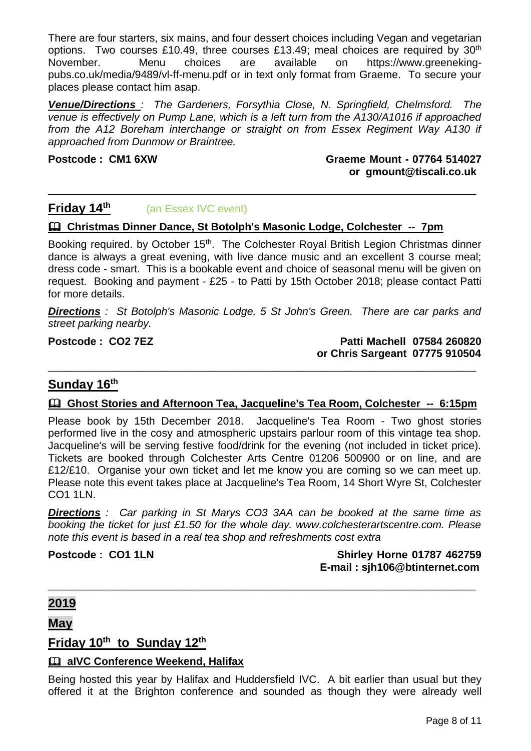There are four starters, six mains, and four dessert choices including Vegan and vegetarian options. Two courses £10.49, three courses £13.49; meal choices are required by  $30<sup>th</sup>$ November. Menu choices are available on https://www.greenekingpubs.co.uk/media/9489/vl-ff-menu.pdf or in text only format from Graeme. To secure your places please contact him asap.

*Venue/Directions : The Gardeners, Forsythia Close, N. Springfield, Chelmsford. The venue is effectively on Pump Lane, which is a left turn from the A130/A1016 if approached from the A12 Boreham interchange or straight on from Essex Regiment Way A130 if approached from Dunmow or Braintree.*

\_\_\_\_\_\_\_\_\_\_\_\_\_\_\_\_\_\_\_\_\_\_\_\_\_\_\_\_\_\_\_\_\_\_\_\_\_\_\_\_\_\_\_\_\_\_\_\_\_\_\_\_\_\_\_\_\_\_\_\_\_\_\_\_\_\_\_\_\_\_\_\_

**Postcode : CM1 6XW Graeme Mount - 07764 514027 or gmount@tiscali.co.uk**

#### **Friday 14th** (an Essex IVC event)

#### **Christmas Dinner Dance, St Botolph's Masonic Lodge, Colchester -- 7pm**

Booking required. by October 15<sup>th</sup>. The Colchester Royal British Legion Christmas dinner dance is always a great evening, with live dance music and an excellent 3 course meal; dress code - smart. This is a bookable event and choice of seasonal menu will be given on request. Booking and payment - £25 - to Patti by 15th October 2018; please contact Patti for more details.

*Directions : St Botolph's Masonic Lodge, 5 St John's Green. There are car parks and street parking nearby.*

**Postcode : CO2 7EZ Patti Machell 07584 260820 or Chris Sargeant 07775 910504**

#### **Sunday 16th**

#### **Ghost Stories and Afternoon Tea, Jacqueline's Tea Room, Colchester -- 6:15pm**

\_\_\_\_\_\_\_\_\_\_\_\_\_\_\_\_\_\_\_\_\_\_\_\_\_\_\_\_\_\_\_\_\_\_\_\_\_\_\_\_\_\_\_\_\_\_\_\_\_\_\_\_\_\_\_\_\_\_\_\_\_\_\_\_\_\_\_\_\_\_\_\_

Please book by 15th December 2018. Jacqueline's Tea Room - Two ghost stories performed live in the cosy and atmospheric upstairs parlour room of this vintage tea shop. Jacqueline's will be serving festive food/drink for the evening (not included in ticket price). Tickets are booked through Colchester Arts Centre 01206 500900 or on line, and are £12/£10. Organise your own ticket and let me know you are coming so we can meet up. Please note this event takes place at Jacqueline's Tea Room, 14 Short Wyre St, Colchester CO1 1LN.

*Directions : Car parking in St Marys CO3 3AA can be booked at the same time as booking the ticket for just £1.50 for the whole day. www.colchesterartscentre.com. Please note this event is based in a real tea shop and refreshments cost extra*

\_\_\_\_\_\_\_\_\_\_\_\_\_\_\_\_\_\_\_\_\_\_\_\_\_\_\_\_\_\_\_\_\_\_\_\_\_\_\_\_\_\_\_\_\_\_\_\_\_\_\_\_\_\_\_\_\_\_\_\_\_\_\_\_\_\_\_\_\_\_\_\_

**Postcode : CO1 1LN Shirley Horne 01787 462759 E-mail : [sjh106@btinternet.com](mailto:sjh106@btinternet.com)**

#### **2019**

**May**

#### **Friday 10th to Sunday 12th**

#### **aIVC Conference Weekend, Halifax**

Being hosted this year by Halifax and Huddersfield IVC. A bit earlier than usual but they offered it at the Brighton conference and sounded as though they were already well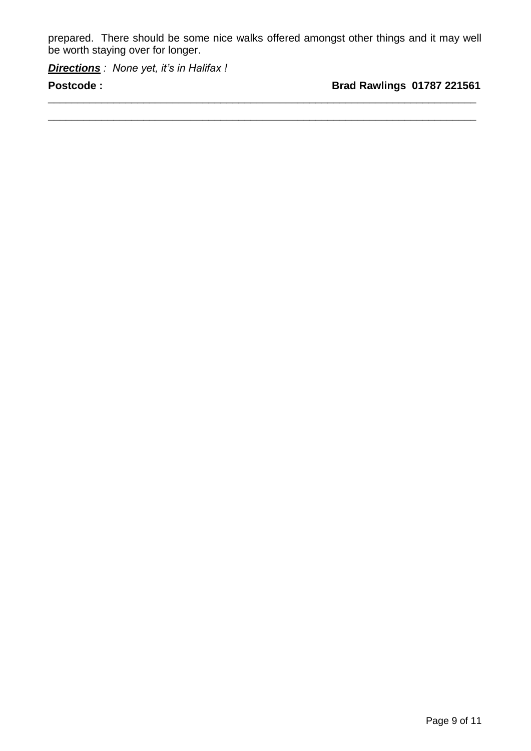prepared. There should be some nice walks offered amongst other things and it may well be worth staying over for longer.

\_\_\_\_\_\_\_\_\_\_\_\_\_\_\_\_\_\_\_\_\_\_\_\_\_\_\_\_\_\_\_\_\_\_\_\_\_\_\_\_\_\_\_\_\_\_\_\_\_\_\_\_\_\_\_\_\_\_\_\_\_\_\_\_\_\_\_\_\_\_\_\_ **\_\_\_\_\_\_\_\_\_\_\_\_\_\_\_\_\_\_\_\_\_\_\_\_\_\_\_\_\_\_\_\_\_\_\_\_\_\_\_\_\_\_\_\_\_\_\_\_\_\_\_\_\_\_\_\_\_\_\_\_\_\_\_\_\_\_\_\_\_\_\_\_**

*Directions : None yet, it's in Halifax !*

**Postcode :** Brad Rawlings 01787 221561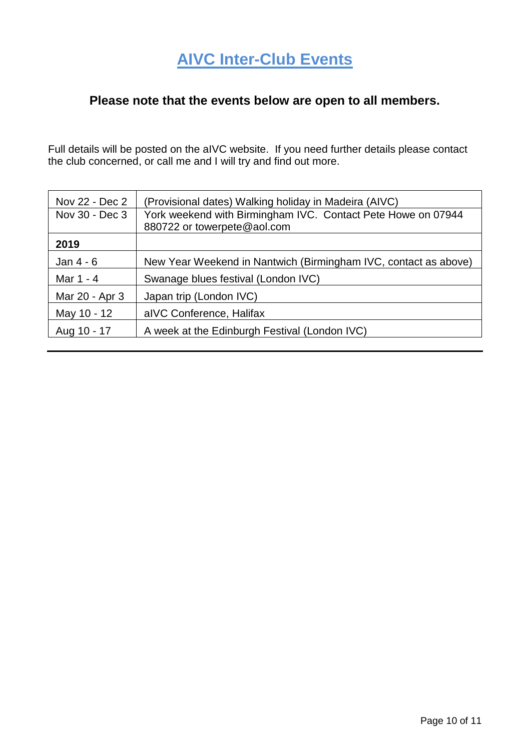### **Please note that the events below are open to all members.**

Full details will be posted on the aIVC website. If you need further details please contact the club concerned, or call me and I will try and find out more.

| Nov 22 - Dec 2 | (Provisional dates) Walking holiday in Madeira (AIVC)           |
|----------------|-----------------------------------------------------------------|
| Nov 30 - Dec 3 | York weekend with Birmingham IVC. Contact Pete Howe on 07944    |
|                | 880722 or towerpete@aol.com                                     |
| 2019           |                                                                 |
| Jan 4 - 6      | New Year Weekend in Nantwich (Birmingham IVC, contact as above) |
| Mar 1 - 4      | Swanage blues festival (London IVC)                             |
| Mar 20 - Apr 3 | Japan trip (London IVC)                                         |
| May 10 - 12    | alVC Conference, Halifax                                        |
| Aug 10 - 17    | A week at the Edinburgh Festival (London IVC)                   |